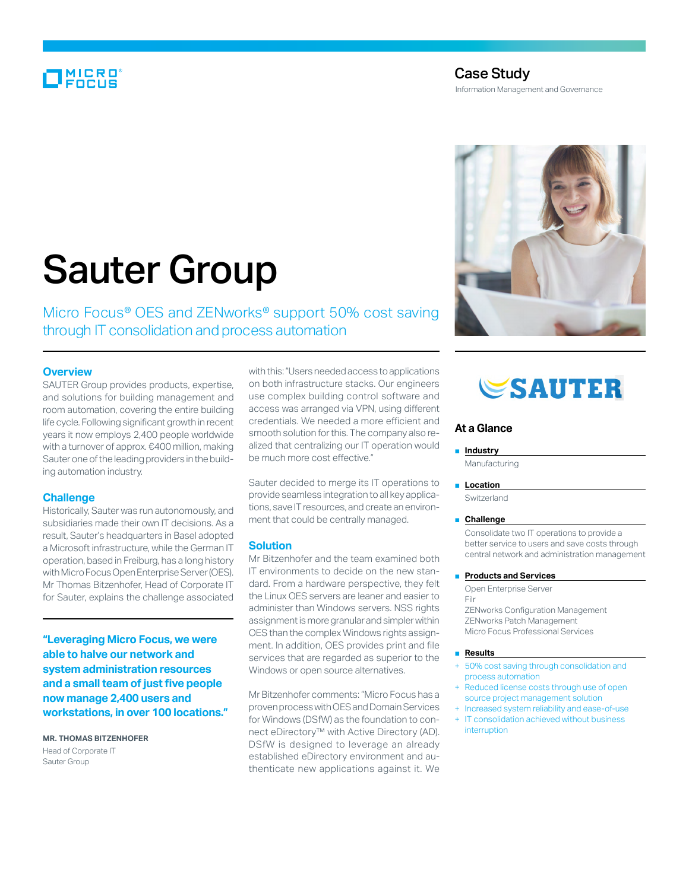## **MICRO**<br>FOCUS

### Case Study

Information Management and Governance

# Sauter Group

Micro Focus<sup>®</sup> OES and ZENworks<sup>®</sup> support 50% cost saving through IT consolidation and process automation

#### **Overview**

SAUTER Group provides products, expertise, and solutions for building management and room automation, covering the entire building life cycle. Following significant growth in recent years it now employs 2,400 people worldwide with a turnover of approx. €400 million, making Sauter one of the leading providers in the building automation industry.

#### **Challenge**

Historically, Sauter was run autonomously, and subsidiaries made their own IT decisions. As a result, Sauter's headquarters in Basel adopted a Microsoft infrastructure, while the German IT operation, based in Freiburg, has a long history with Micro Focus Open Enterprise Server (OES). Mr Thomas Bitzenhofer, Head of Corporate IT for Sauter, explains the challenge associated

**"Leveraging Micro Focus, we were able to halve our network and system administration resources and a small team of just five people now manage 2,400 users and workstations, in over 100 locations."**

**Mr. Thomas Bitzenhofer** Head of Corporate IT Sauter Group

with this: "Users needed access to applications on both infrastructure stacks. Our engineers use complex building control software and access was arranged via VPN, using different credentials. We needed a more efficient and smooth solution for this. The company also realized that centralizing our IT operation would be much more cost effective."

Sauter decided to merge its IT operations to provide seamless integration to all key applications, save IT resources, and create an environment that could be centrally managed.

#### **Solution**

Mr Bitzenhofer and the team examined both IT environments to decide on the new standard. From a hardware perspective, they felt the Linux OES servers are leaner and easier to administer than Windows servers. NSS rights assignment is more granular and simpler within OES than the complex Windows rights assignment. In addition, OES provides print and file services that are regarded as superior to the Windows or open source alternatives.

Mr Bitzenhofer comments: "Micro Focus has a proven process with OES and Domain Services for Windows (DSfW) as the foundation to connect eDirectory™ with Active Directory (AD). DSfW is designed to leverage an already established eDirectory environment and authenticate new applications against it. We



## **SAUTER**

#### **At a Glance**

#### ■ **Industry**

Manufacturing

#### ■ **Location**

Switzerland

#### ■ **Challenge**

Consolidate two IT operations to provide a better service to users and save costs through central network and administration management

#### **Products and Services**

Open Enterprise Server Filr

ZENworks Configuration Management ZENworks Patch Management Micro Focus Professional Services

#### ■ **Results**

- 50% cost saving through consolidation and process automation
- Reduced license costs through use of open source project management solution
- Increased system reliability and ease-of-use + IT consolidation achieved without business
- interruption